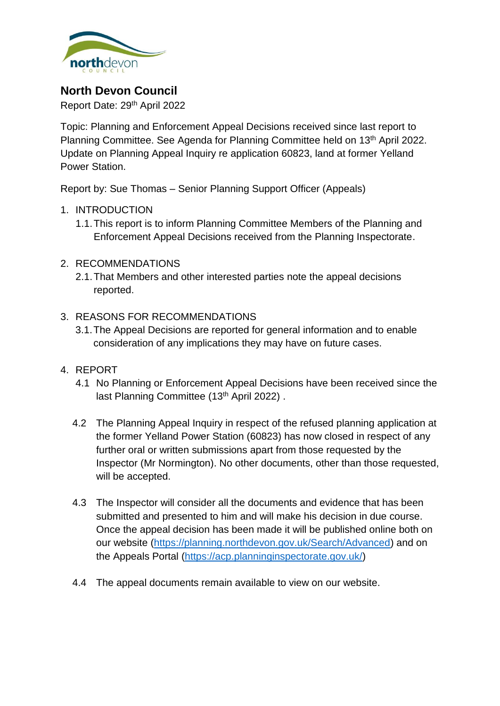

# **North Devon Council**

Report Date: 29th April 2022

Topic: Planning and Enforcement Appeal Decisions received since last report to Planning Committee. See Agenda for Planning Committee held on 13<sup>th</sup> April 2022. Update on Planning Appeal Inquiry re application 60823, land at former Yelland Power Station.

Report by: Sue Thomas – Senior Planning Support Officer (Appeals)

- 1. INTRODUCTION
	- 1.1.This report is to inform Planning Committee Members of the Planning and Enforcement Appeal Decisions received from the Planning Inspectorate.
- 2. RECOMMENDATIONS
	- 2.1.That Members and other interested parties note the appeal decisions reported.
- 3. REASONS FOR RECOMMENDATIONS
	- 3.1.The Appeal Decisions are reported for general information and to enable consideration of any implications they may have on future cases.
- 4. REPORT
	- 4.1 No Planning or Enforcement Appeal Decisions have been received since the last Planning Committee (13<sup>th</sup> April 2022).
	- 4.2 The Planning Appeal Inquiry in respect of the refused planning application at the former Yelland Power Station (60823) has now closed in respect of any further oral or written submissions apart from those requested by the Inspector (Mr Normington). No other documents, other than those requested, will be accepted.
	- 4.3 The Inspector will consider all the documents and evidence that has been submitted and presented to him and will make his decision in due course. Once the appeal decision has been made it will be published online both on our website [\(https://planning.northdevon.gov.uk/Search/Advanced\)](https://planning.northdevon.gov.uk/Search/Advanced) and on the Appeals Portal [\(https://acp.planninginspectorate.gov.uk/\)](https://acp.planninginspectorate.gov.uk/)
	- 4.4 The appeal documents remain available to view on our website.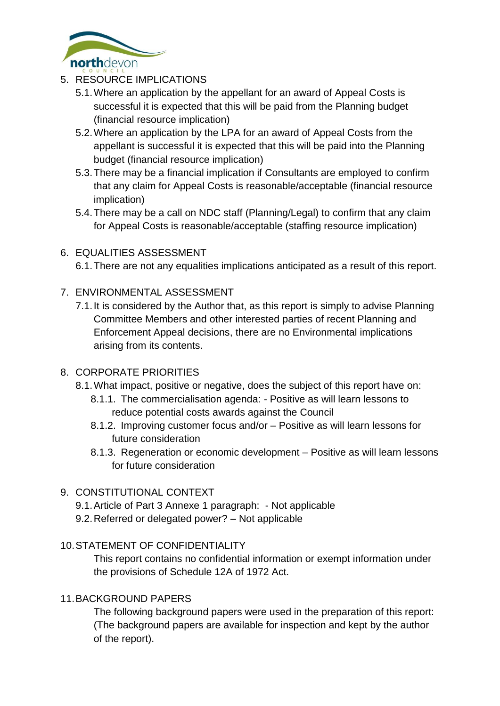

- 5. RESOURCE IMPLICATIONS
	- 5.1.Where an application by the appellant for an award of Appeal Costs is successful it is expected that this will be paid from the Planning budget (financial resource implication)
	- 5.2.Where an application by the LPA for an award of Appeal Costs from the appellant is successful it is expected that this will be paid into the Planning budget (financial resource implication)
	- 5.3.There may be a financial implication if Consultants are employed to confirm that any claim for Appeal Costs is reasonable/acceptable (financial resource implication)
	- 5.4.There may be a call on NDC staff (Planning/Legal) to confirm that any claim for Appeal Costs is reasonable/acceptable (staffing resource implication)

## 6. EQUALITIES ASSESSMENT

6.1.There are not any equalities implications anticipated as a result of this report.

### 7. ENVIRONMENTAL ASSESSMENT

7.1.It is considered by the Author that, as this report is simply to advise Planning Committee Members and other interested parties of recent Planning and Enforcement Appeal decisions, there are no Environmental implications arising from its contents.

### 8. CORPORATE PRIORITIES

- 8.1.What impact, positive or negative, does the subject of this report have on:
	- 8.1.1. The commercialisation agenda: Positive as will learn lessons to reduce potential costs awards against the Council
	- 8.1.2. Improving customer focus and/or Positive as will learn lessons for future consideration
	- 8.1.3. Regeneration or economic development Positive as will learn lessons for future consideration

## 9. CONSTITUTIONAL CONTEXT

- 9.1.Article of Part 3 Annexe 1 paragraph: Not applicable
- 9.2.Referred or delegated power? Not applicable

### 10.STATEMENT OF CONFIDENTIALITY

This report contains no confidential information or exempt information under the provisions of Schedule 12A of 1972 Act.

### 11.BACKGROUND PAPERS

The following background papers were used in the preparation of this report: (The background papers are available for inspection and kept by the author of the report).